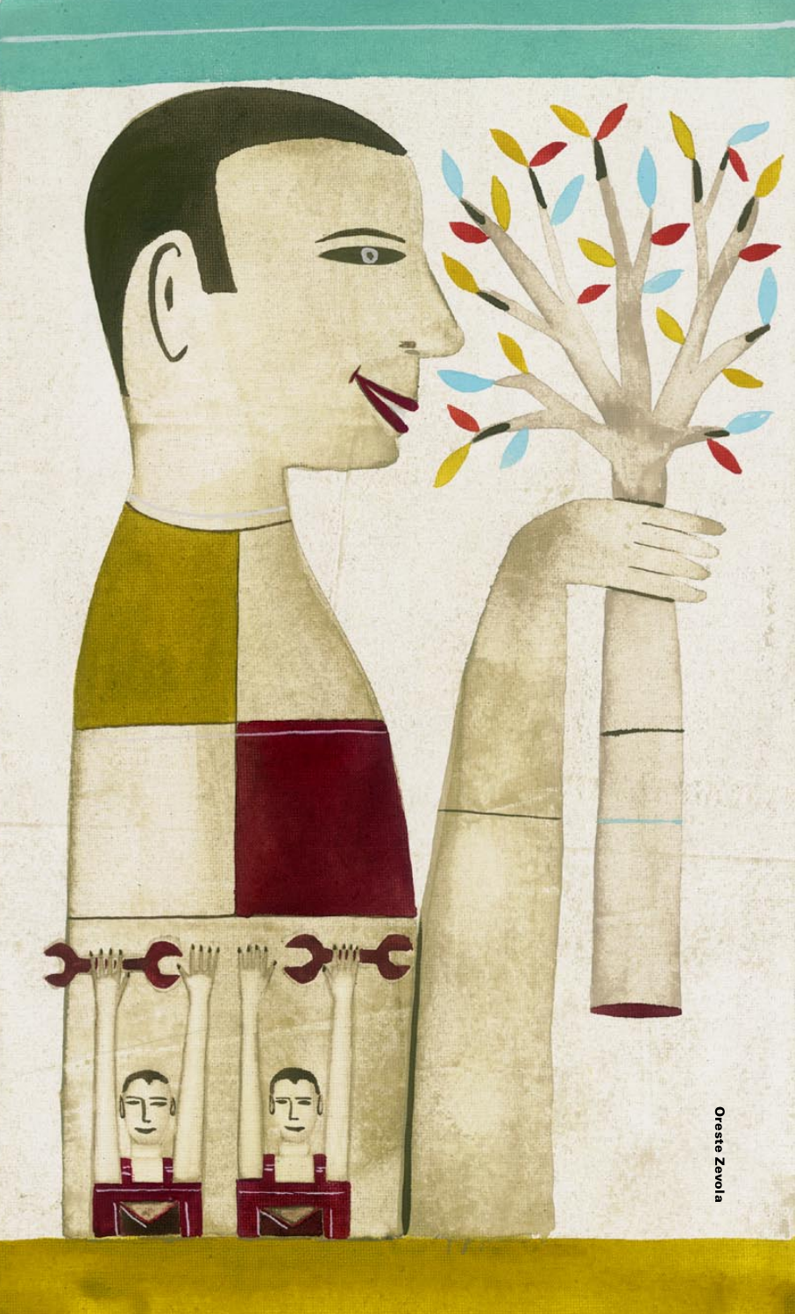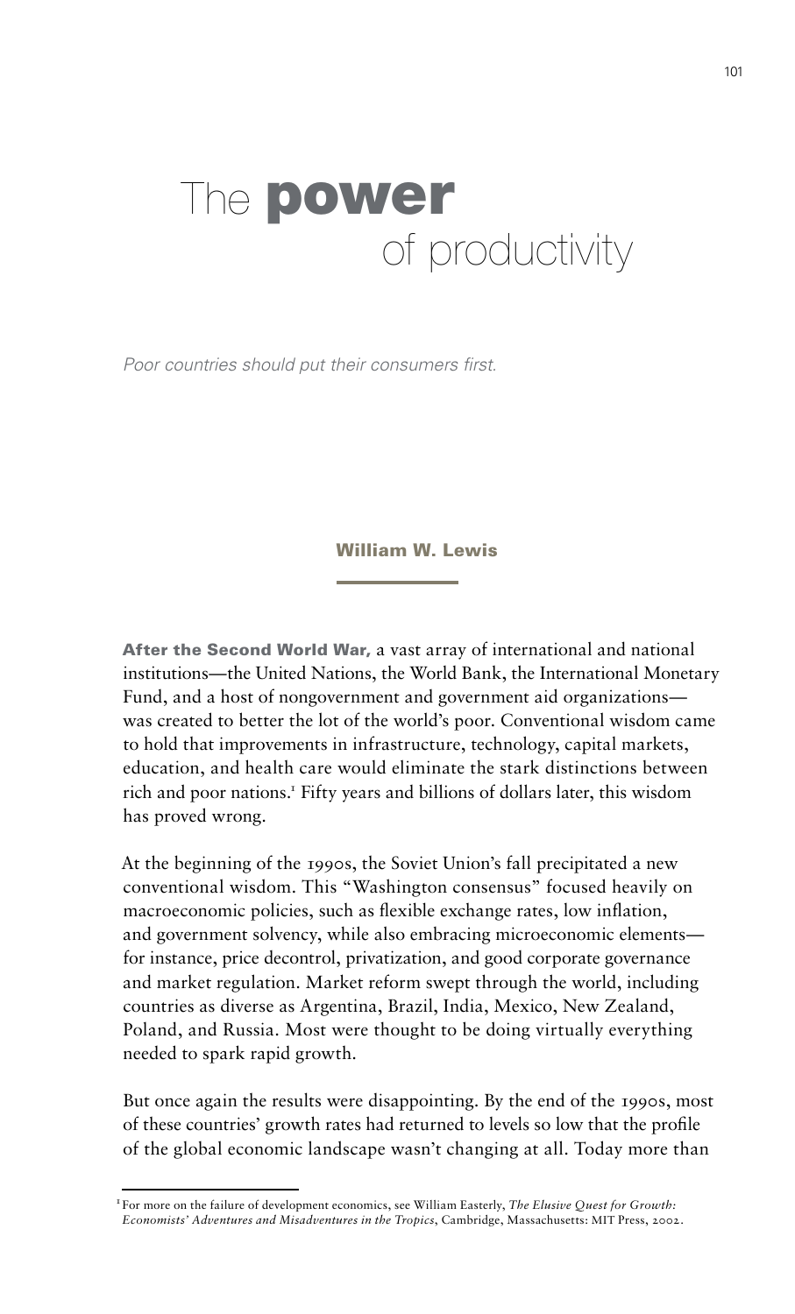# The power of productivity

Poor countries should put their consumers first.

William W. Lewis

After the Second World War, a vast array of international and national institutions—the United Nations, the World Bank, the International Monetary Fund, and a host of nongovernment and government aid organizations was created to better the lot of the world's poor. Conventional wisdom came to hold that improvements in infrastructure, technology, capital markets, education, and health care would eliminate the stark distinctions between rich and poor nations.<sup>1</sup> Fifty years and billions of dollars later, this wisdom has proved wrong.

At the beginning of the 1990s, the Soviet Union's fall precipitated a new conventional wisdom. This "Washington consensus" focused heavily on macroeconomic policies, such as flexible exchange rates, low inflation, and government solvency, while also embracing microeconomic elements for instance, price decontrol, privatization, and good corporate governance and market regulation. Market reform swept through the world, including countries as diverse as Argentina, Brazil, India, Mexico, New Zealand, Poland, and Russia. Most were thought to be doing virtually everything needed to spark rapid growth.

But once again the results were disappointing. By the end of the 1990s, most of these countries' growth rates had returned to levels so low that the profile of the global economic landscape wasn't changing at all. Today more than

<sup>1</sup>For more on the failure of development economics, see William Easterly, *The Elusive Quest for Growth: Economists' Adventures and Misadventures in the Tropics*, Cambridge, Massachusetts: MIT Press, 2002.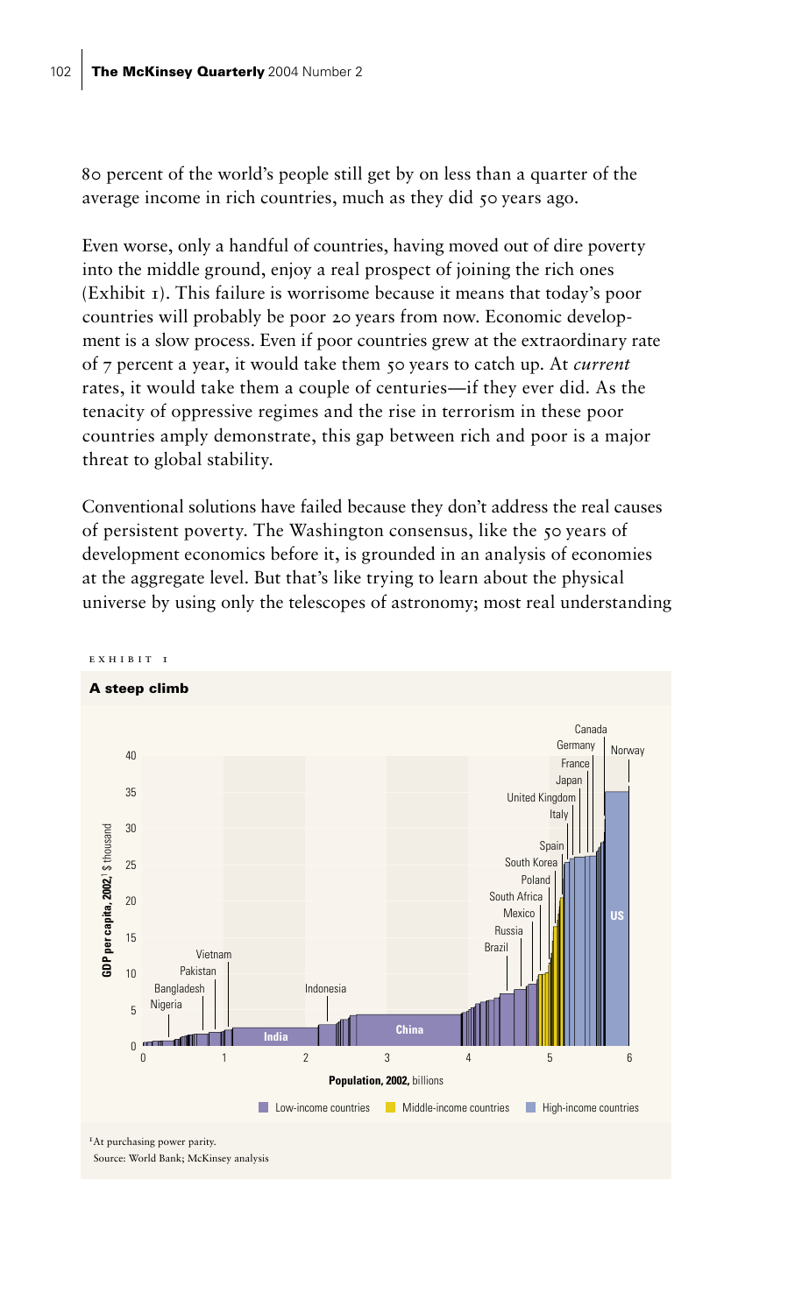80 percent of the world's people still get by on less than a quarter of the average income in rich countries, much as they did 50 years ago.

Even worse, only a handful of countries, having moved out of dire poverty into the middle ground, enjoy a real prospect of joining the rich ones (Exhibit 1). This failure is worrisome because it means that today's poor countries will probably be poor 20 years from now. Economic development is a slow process. Even if poor countries grew at the extraordinary rate of 7 percent a year, it would take them 50 years to catch up. At *current* rates, it would take them a couple of centuries-if they ever did. As the tenacity of oppressive regimes and the rise in terrorism in these poor countries amply demonstrate, this gap between rich and poor is a major threat to global stability.

Conventional solutions have failed because they don't address the real causes of persistent poverty. The Washington consensus, like the 50 years of development economics before it, is grounded in an analysis of economies at the aggregate level. But that's like trying to learn about the physical universe by using only the telescopes of astronomy; most real understanding



Source: World Bank; McKinsey analysis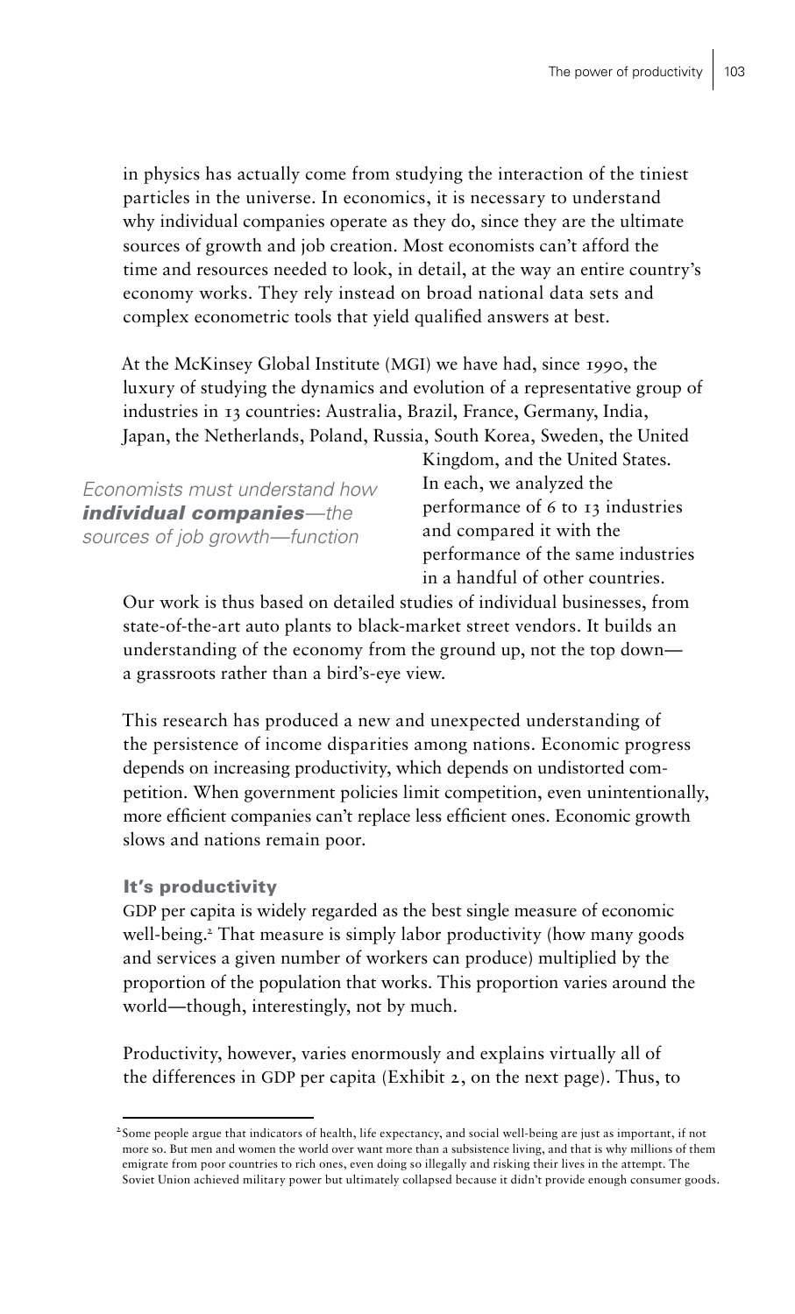in physics has actually come from studying the interaction of the tiniest particles in the universe. In economics, it is necessary to understand why individual companies operate as they do, since they are the ultimate sources of growth and job creation. Most economists can't afford the time and resources needed to look, in detail, at the way an entire country's economy works. They rely instead on broad national data sets and complex econometric tools that yield qualified answers at best.

At the McKinsey Global Institute (MGI) we have had, since 1990, the luxury of studying the dynamics and evolution of a representative group of industries in 13 countries: Australia, Brazil, France, Germany, India, Japan, the Netherlands, Poland, Russia, South Korea, Sweden, the United

Economists must understand how individual companies—the sources of job growth—function

Kingdom, and the United States. In each, we analyzed the performance of 6 to 13 industries and compared it with the performance of the same industries in a handful of other countries.

Our work is thus based on detailed studies of individual businesses, from state-of-the-art auto plants to black-market street vendors. It builds an understanding of the economy from the ground up, not the top down a grassroots rather than a bird's-eye view.

This research has produced a new and unexpected understanding of the persistence of income disparities among nations. Economic progress depends on increasing productivity, which depends on undistorted competition. When government policies limit competition, even unintentionally, more efficient companies can't replace less efficient ones. Economic growth slows and nations remain poor.

## It's productivity

GDP per capita is widely regarded as the best single measure of economic well-being.<sup>2</sup> That measure is simply labor productivity (how many goods and services a given number of workers can produce) multiplied by the proportion of the population that works. This proportion varies around the world—though, interestingly, not by much.

Productivity, however, varies enormously and explains virtually all of the differences in GDP per capita (Exhibit 2, on the next page). Thus, to

<sup>2</sup>Some people argue that indicators of health, life expectancy, and social well-being are just as important, if not more so. But men and women the world over want more than a subsistence living, and that is why millions of them emigrate from poor countries to rich ones, even doing so illegally and risking their lives in the attempt. The Soviet Union achieved military power but ultimately collapsed because it didn't provide enough consumer goods.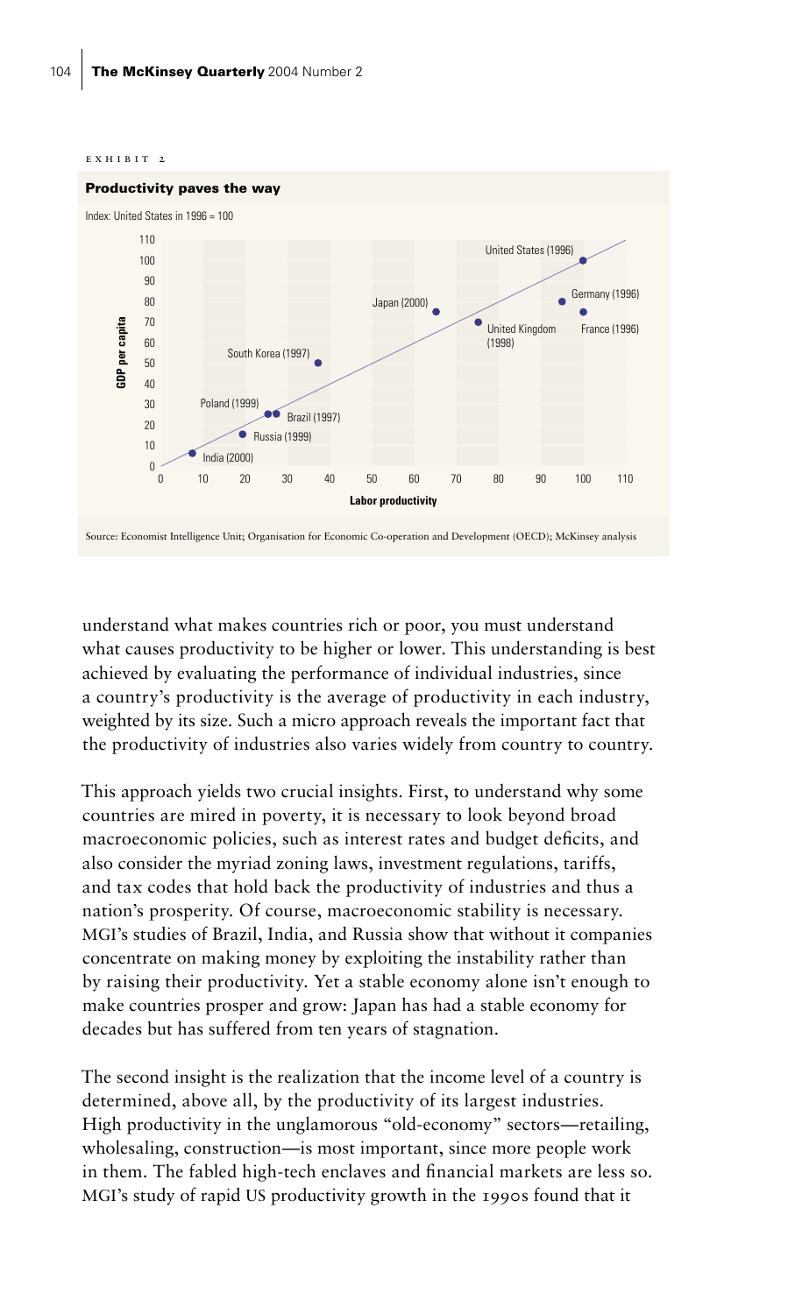

understand what makes countries rich or poor, you must understand what causes productivity to be higher or lower. This understanding is best achieved by evaluating the performance of individual industries, since a country's productivity is the average of productivity in each industry, weighted by its size. Such a micro approach reveals the important fact that the productivity of industries also varies widely from country to country.

This approach yields two crucial insights. First, to understand why some countries are mired in poverty, it is necessary to look beyond broad macroeconomic policies, such as interest rates and budget deficits, and also consider the myriad zoning laws, investment regulations, tariffs, and tax codes that hold back the productivity of industries and thus a nation's prosperity. Of course, macroeconomic stability is necessary. MGI's studies of Brazil, India, and Russia show that without it companies concentrate on making money by exploiting the instability rather than by raising their productivity. Yet a stable economy alone isn't enough to make countries prosper and grow: Japan has had a stable economy for decades but has suffered from ten years of stagnation.

The second insight is the realization that the income level of a country is determined, above all, by the productivity of its largest industries. High productivity in the unglamorous "old-economy" sectors—retailing, wholesaling, construction-is most important, since more people work in them. The fabled high-tech enclaves and financial markets are less so. MGI's study of rapid US productivity growth in the 1990s found that it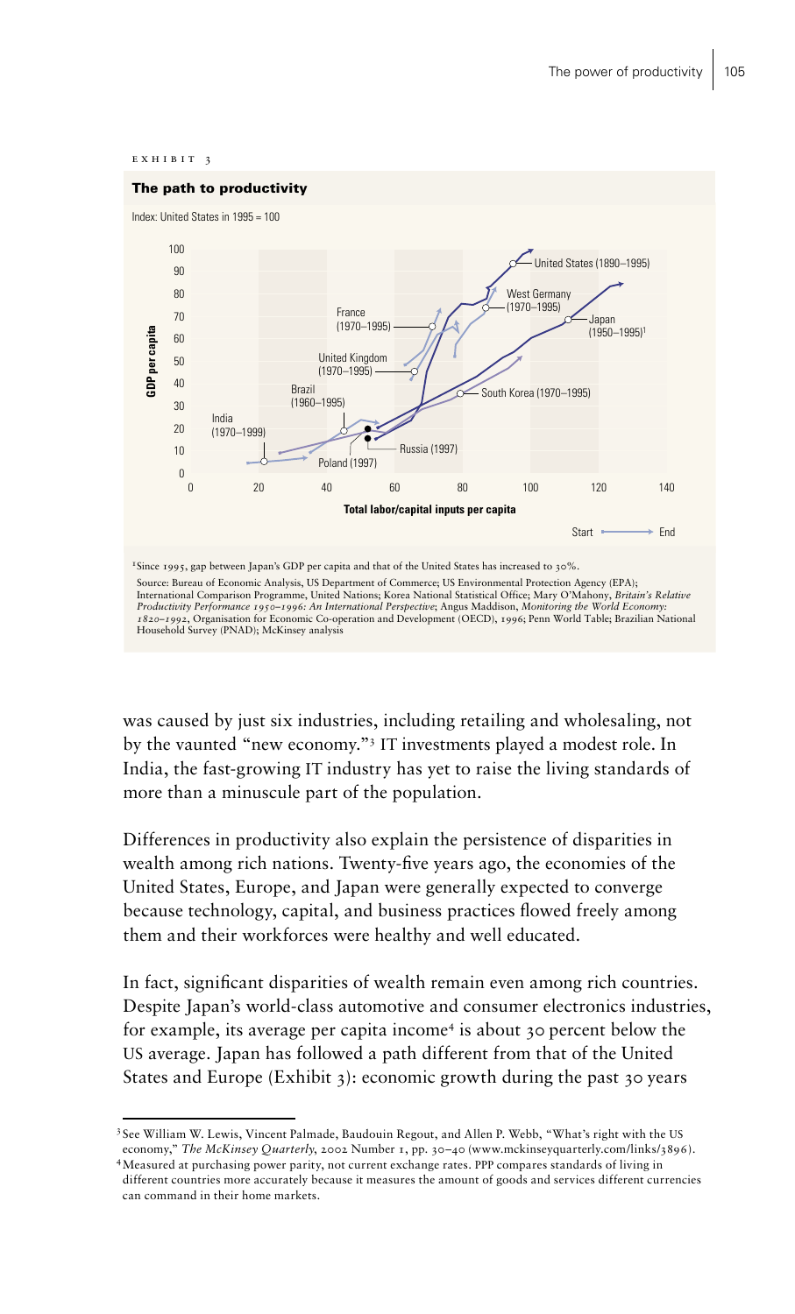```
EXHIBIT 3
```


Source: Bureau of Economic Analysis, US Department of Commerce; US Environmental Protection Agency (EPA); International Comparison Programme, United Nations; Korea National Statistical Office; Mary O'Mahony, Britain's Relative Productivity Performance 1950-1996: An International Perspective; Angus Maddison, Monitoring the World Economy: 1820-1992, Organisation for Economic Co-operation and Development (OECD), 1996; Penn World Table; Brazilian National Household Survey (PNAD); McKinsey analysis

was caused by just six industries, including retailing and wholesaling, not by the vaunted "new economy."<sup>3</sup> IT investments played a modest role. In India, the fast-growing IT industry has yet to raise the living standards of more than a minuscule part of the population.

Differences in productivity also explain the persistence of disparities in wealth among rich nations. Twenty-five years ago, the economies of the United States, Europe, and Japan were generally expected to converge because technology, capital, and business practices flowed freely among them and their workforces were healthy and well educated.

In fact, significant disparities of wealth remain even among rich countries. Despite Japan's world-class automotive and consumer electronics industries, for example, its average per capita income<sup>4</sup> is about 30 percent below the US average. Japan has followed a path different from that of the United States and Europe (Exhibit 3): economic growth during the past 30 years

<sup>3</sup> See William W. Lewis, Vincent Palmade, Baudouin Regout, and Allen P. Webb, "What's right with the US economy," The McKinsey Quarterly, 2002 Number 1, pp. 30-40 (www.mckinseyquarterly.com/links/3896).

<sup>4</sup> Measured at purchasing power parity, not current exchange rates. PPP compares standards of living in

different countries more accurately because it measures the amount of goods and services different currencies can command in their home markets.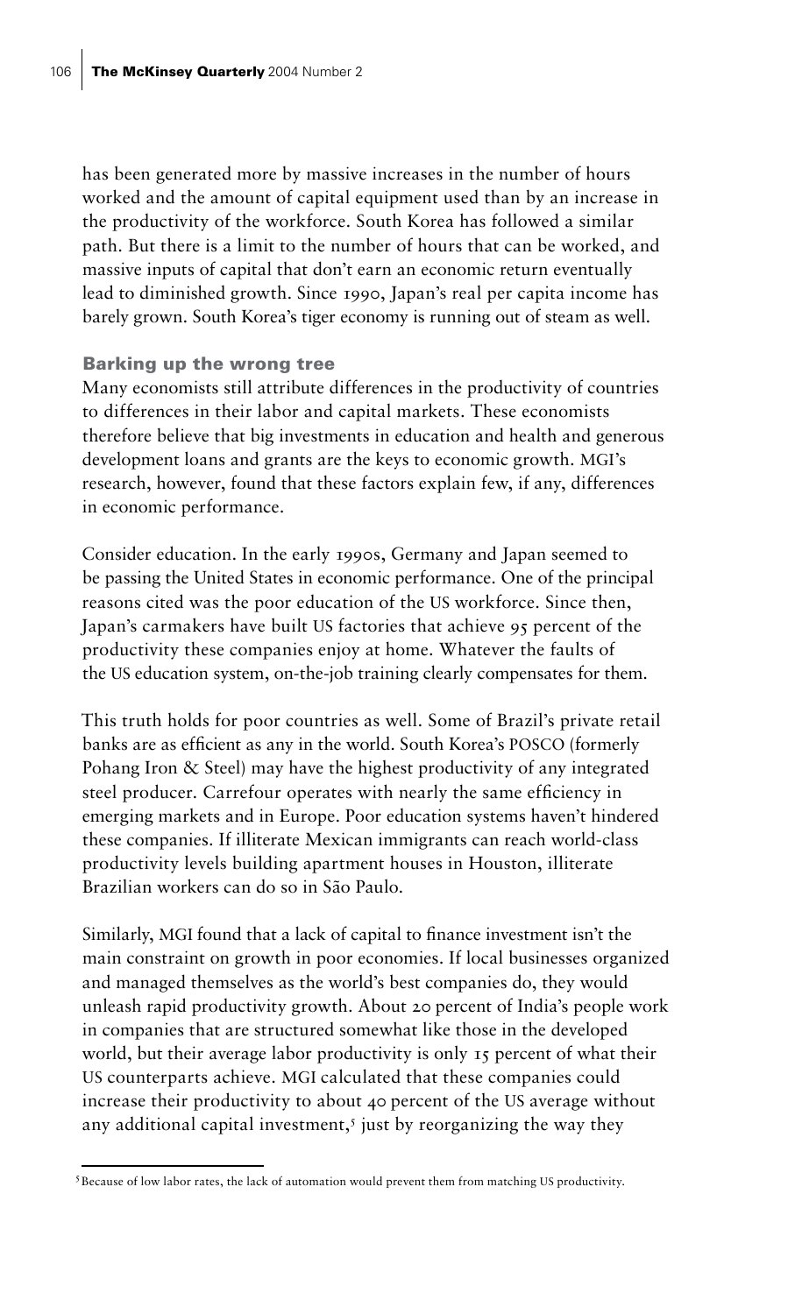has been generated more by massive increases in the number of hours worked and the amount of capital equipment used than by an increase in the productivity of the workforce. South Korea has followed a similar path. But there is a limit to the number of hours that can be worked, and massive inputs of capital that don't earn an economic return eventually lead to diminished growth. Since 1990, Japan's real per capita income has barely grown. South Korea's tiger economy is running out of steam as well.

#### Barking up the wrong tree

Many economists still attribute differences in the productivity of countries to differences in their labor and capital markets. These economists therefore believe that big investments in education and health and generous development loans and grants are the keys to economic growth. MGI's research, however, found that these factors explain few, if any, differences in economic performance.

Consider education. In the early 1990s, Germany and Japan seemed to be passing the United States in economic performance. One of the principal reasons cited was the poor education of the US workforce. Since then, Japan's carmakers have built US factories that achieve 95 percent of the productivity these companies enjoy at home. Whatever the faults of the US education system, on-the-job training clearly compensates for them.

This truth holds for poor countries as well. Some of Brazil's private retail banks are as efficient as any in the world. South Korea's POSCO (formerly Pohang Iron & Steel) may have the highest productivity of any integrated steel producer. Carrefour operates with nearly the same efficiency in emerging markets and in Europe. Poor education systems haven't hindered these companies. If illiterate Mexican immigrants can reach world-class productivity levels building apartment houses in Houston, illiterate Brazilian workers can do so in São Paulo.

Similarly, MGI found that a lack of capital to finance investment isn't the main constraint on growth in poor economies. If local businesses organized and managed themselves as the world's best companies do, they would unleash rapid productivity growth. About 20 percent of India's people work in companies that are structured somewhat like those in the developed world, but their average labor productivity is only 15 percent of what their US counterparts achieve. MGI calculated that these companies could increase their productivity to about 40 percent of the US average without any additional capital investment, $5$  just by reorganizing the way they

<sup>5</sup>Because of low labor rates, the lack of automation would prevent them from matching US productivity.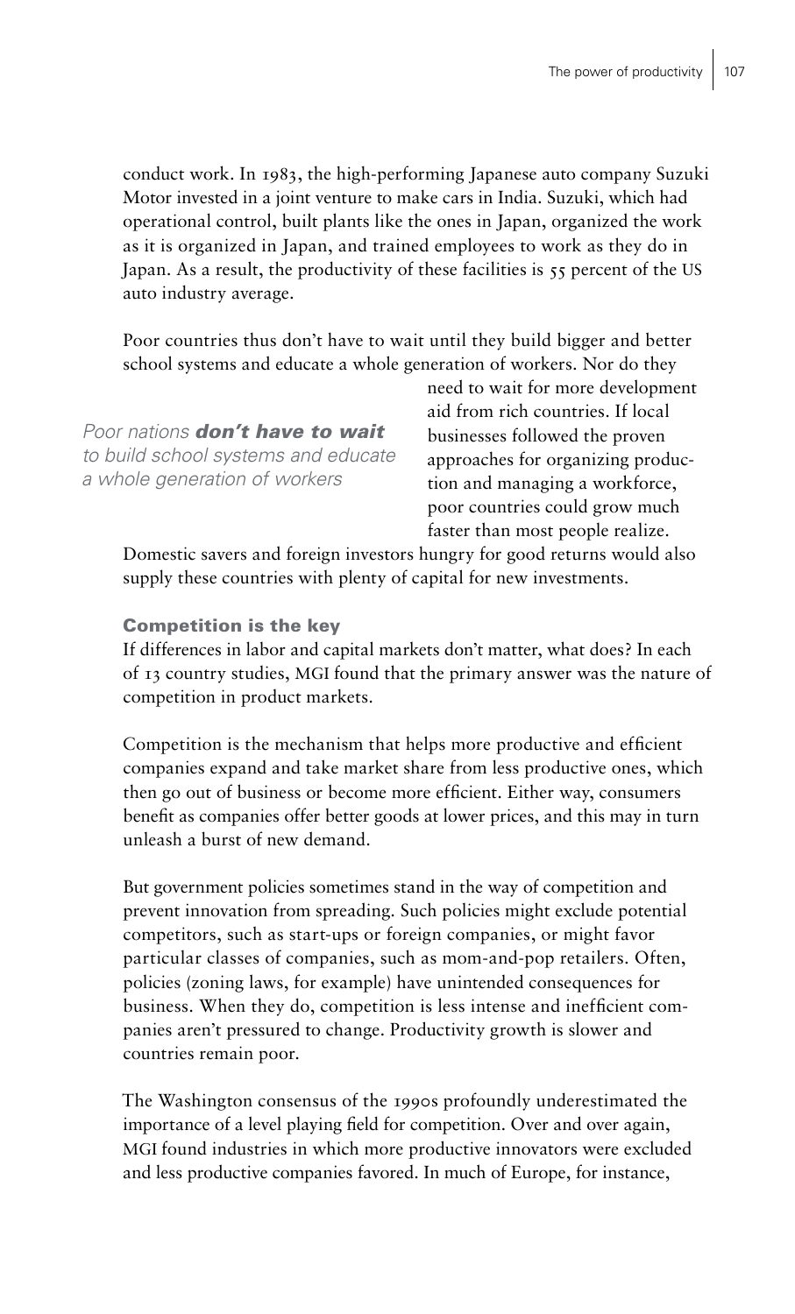conduct work. In 1983, the high-performing Japanese auto company Suzuki Motor invested in a joint venture to make cars in India. Suzuki, which had operational control, built plants like the ones in Japan, organized the work as it is organized in Japan, and trained employees to work as they do in Japan. As a result, the productivity of these facilities is 55 percent of the US auto industry average.

Poor countries thus don't have to wait until they build bigger and better school systems and educate a whole generation of workers. Nor do they

Poor nations **don't have to wait** to build school systems and educate a whole generation of workers

need to wait for more development aid from rich countries. If local businesses followed the proven approaches for organizing production and managing a workforce, poor countries could grow much faster than most people realize.

Domestic savers and foreign investors hungry for good returns would also supply these countries with plenty of capital for new investments.

#### Competition is the key

If differences in labor and capital markets don't matter, what does? In each of 13 country studies, MGI found that the primary answer was the nature of competition in product markets.

Competition is the mechanism that helps more productive and efficient companies expand and take market share from less productive ones, which then go out of business or become more efficient. Either way, consumers benefit as companies offer better goods at lower prices, and this may in turn unleash a burst of new demand.

But government policies sometimes stand in the way of competition and prevent innovation from spreading. Such policies might exclude potential competitors, such as start-ups or foreign companies, or might favor particular classes of companies, such as mom-and-pop retailers. Often, policies (zoning laws, for example) have unintended consequences for business. When they do, competition is less intense and inefficient companies aren't pressured to change. Productivity growth is slower and countries remain poor.

The Washington consensus of the 1990s profoundly underestimated the importance of a level playing field for competition. Over and over again, MGI found industries in which more productive innovators were excluded and less productive companies favored. In much of Europe, for instance,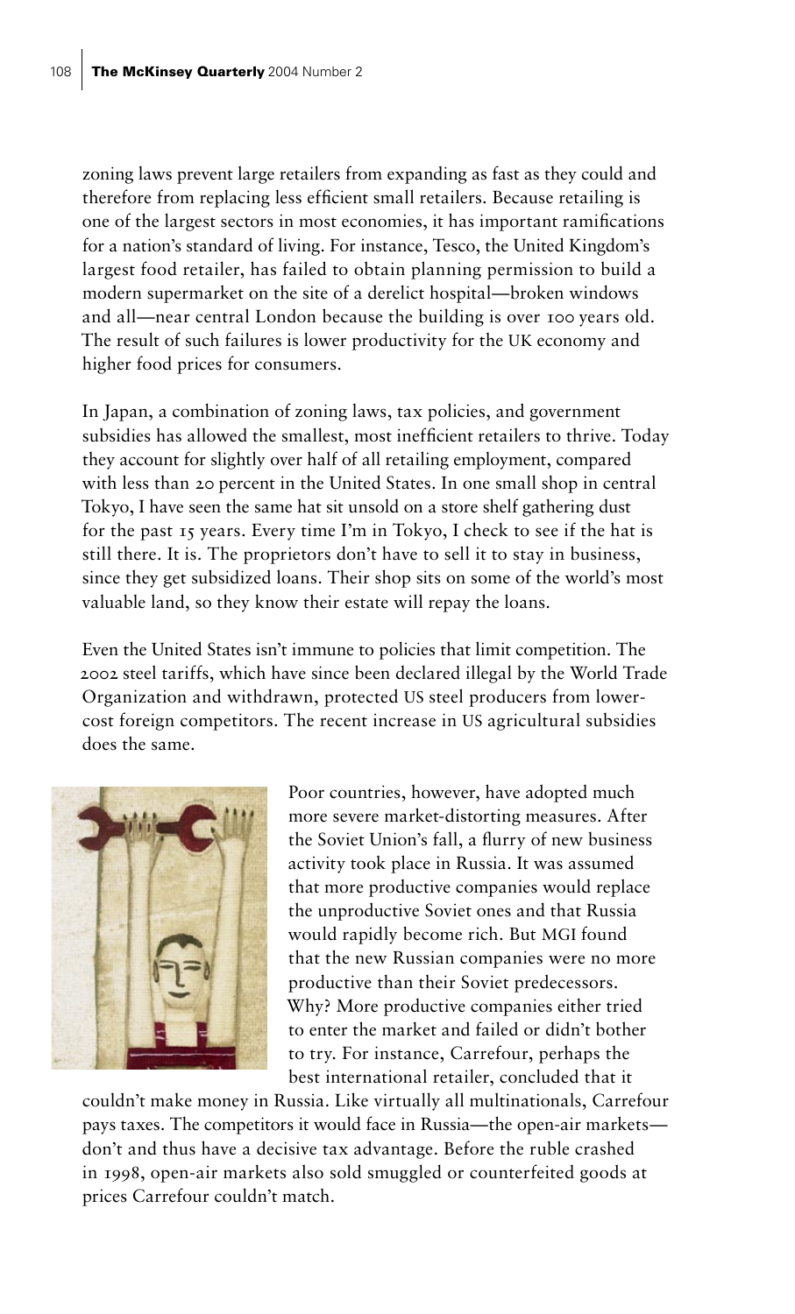zoning laws prevent large retailers from expanding as fast as they could and therefore from replacing less efficient small retailers. Because retailing is one of the largest sectors in most economies, it has important ramifications for a nation's standard of living. For instance, Tesco, the United Kingdom's largest food retailer, has failed to obtain planning permission to build a modern supermarket on the site of a derelict hospital—broken windows and all—near central London because the building is over 100 years old. The result of such failures is lower productivity for the UK economy and higher food prices for consumers.

In Japan, a combination of zoning laws, tax policies, and government subsidies has allowed the smallest, most inefficient retailers to thrive. Today they account for slightly over half of all retailing employment, compared with less than 20 percent in the United States. In one small shop in central Tokyo, I have seen the same hat sit unsold on a store shelf gathering dust for the past 15 years. Every time I'm in Tokyo, I check to see if the hat is still there. It is. The proprietors don't have to sell it to stay in business, since they get subsidized loans. Their shop sits on some of the world's most valuable land, so they know their estate will repay the loans.

Even the United States isn't immune to policies that limit competition. The 2002 steel tariffs, which have since been declared illegal by the World Trade Organization and withdrawn, protected US steel producers from lowercost foreign competitors. The recent increase in US agricultural subsidies does the same.



Poor countries, however, have adopted much more severe market-distorting measures. After the Soviet Union's fall, a flurry of new business activity took place in Russia. It was assumed that more productive companies would replace the unproductive Soviet ones and that Russia would rapidly become rich. But MGI found that the new Russian companies were no more productive than their Soviet predecessors. Why? More productive companies either tried to enter the market and failed or didn't bother to try. For instance, Carrefour, perhaps the best international retailer, concluded that it

couldn't make money in Russia. Like virtually all multinationals, Carrefour pays taxes. The competitors it would face in Russia—the open-air markets don't and thus have a decisive tax advantage. Before the ruble crashed in 1998, open-air markets also sold smuggled or counterfeited goods at prices Carrefour couldn't match.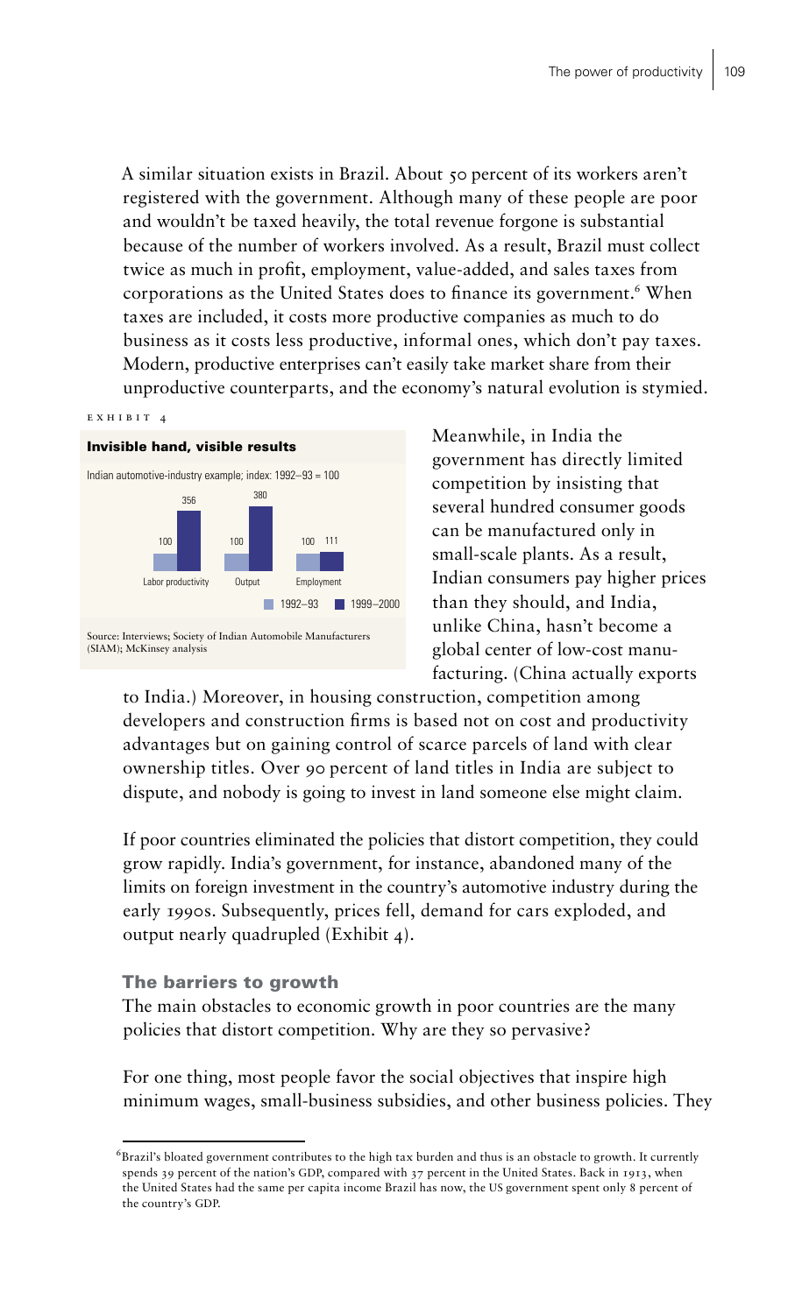A similar situation exists in Brazil. About 50 percent of its workers aren't registered with the government. Although many of these people are poor and wouldn't be taxed heavily, the total revenue forgone is substantial because of the number of workers involved. As a result, Brazil must collect twice as much in profit, employment, value-added, and sales taxes from corporations as the United States does to finance its government.<sup>6</sup> When taxes are included, it costs more productive companies as much to do business as it costs less productive, informal ones, which don't pay taxes. Modern, productive enterprises can't easily take market share from their unproductive counterparts, and the economy's natural evolution is stymied.

#### EXHIBIT<sub>4</sub>





Source: Interviews; Society of Indian Automobile Manufacturers (SIAM); McKinsey analysis

Meanwhile, in India the government has directly limited competition by insisting that several hundred consumer goods can be manufactured only in small-scale plants. As a result, Indian consumers pay higher prices than they should, and India, unlike China, hasn't become a global center of low-cost manufacturing. (China actually exports)

to India.) Moreover, in housing construction, competition among developers and construction firms is based not on cost and productivity advantages but on gaining control of scarce parcels of land with clear ownership titles. Over 90 percent of land titles in India are subject to dispute, and nobody is going to invest in land someone else might claim.

If poor countries eliminated the policies that distort competition, they could grow rapidly. India's government, for instance, abandoned many of the limits on foreign investment in the country's automotive industry during the early 1990s. Subsequently, prices fell, demand for cars exploded, and output nearly quadrupled (Exhibit 4).

#### The barriers to growth

The main obstacles to economic growth in poor countries are the many policies that distort competition. Why are they so pervasive?

For one thing, most people favor the social objectives that inspire high minimum wages, small-business subsidies, and other business policies. They

<sup>&</sup>lt;sup>6</sup>Brazil's bloated government contributes to the high tax burden and thus is an obstacle to growth. It currently spends 39 percent of the nation's GDP, compared with 37 percent in the United States. Back in 1913, when the United States had the same per capita income Brazil has now, the US government spent only 8 percent of the country's GDP.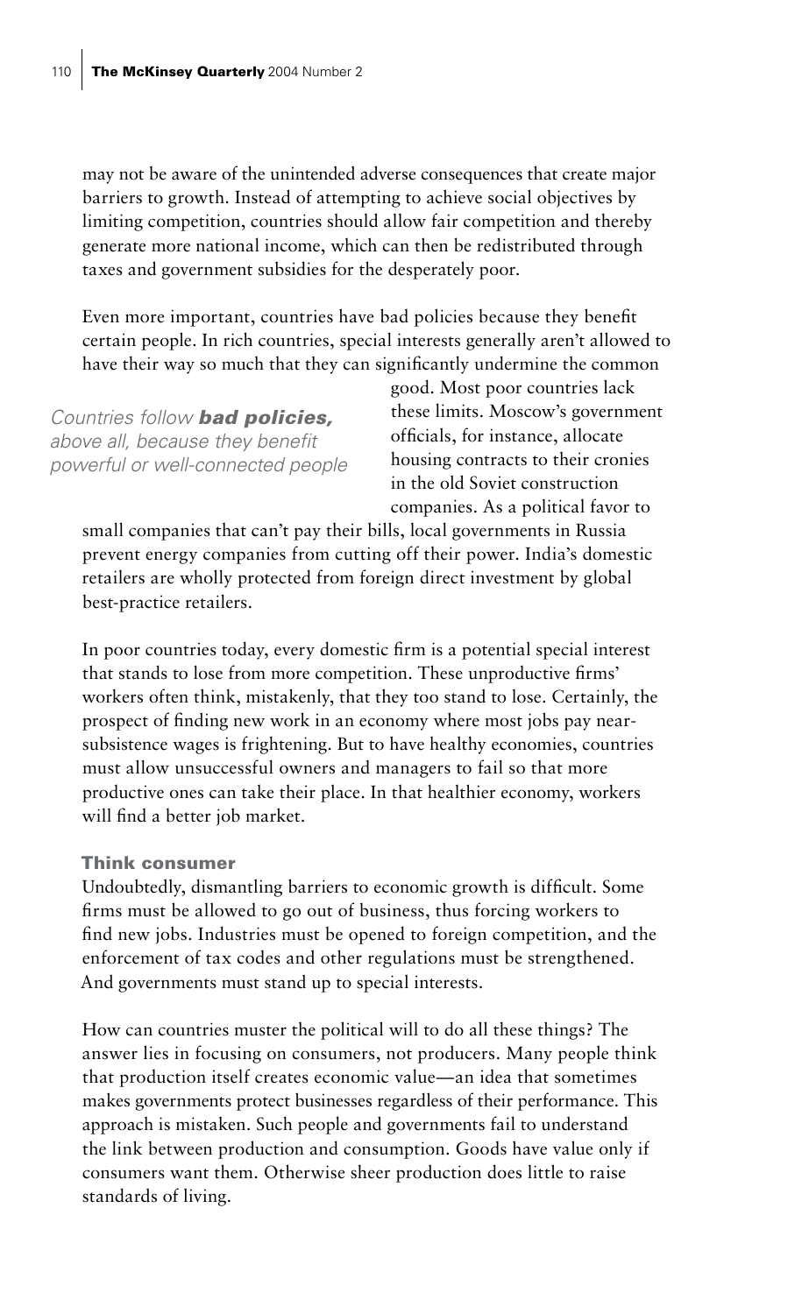may not be aware of the unintended adverse consequences that create major barriers to growth. Instead of attempting to achieve social objectives by limiting competition, countries should allow fair competition and thereby generate more national income, which can then be redistributed through taxes and government subsidies for the desperately poor.

Even more important, countries have bad policies because they benefit certain people. In rich countries, special interests generally aren't allowed to have their way so much that they can significantly undermine the common

Countries follow **bad policies,** above all, because they benefit powerful or well-connected people good. Most poor countries lack these limits. Moscow's government officials, for instance, allocate housing contracts to their cronies in the old Soviet construction companies. As a political favor to

small companies that can't pay their bills, local governments in Russia prevent energy companies from cutting off their power. India's domestic retailers are wholly protected from foreign direct investment by global best-practice retailers.

In poor countries today, every domestic firm is a potential special interest that stands to lose from more competition. These unproductive firms' workers often think, mistakenly, that they too stand to lose. Certainly, the prospect of finding new work in an economy where most jobs pay nearsubsistence wages is frightening. But to have healthy economies, countries must allow unsuccessful owners and managers to fail so that more productive ones can take their place. In that healthier economy, workers will find a better job market.

## Think consumer

Undoubtedly, dismantling barriers to economic growth is difficult. Some firms must be allowed to go out of business, thus forcing workers to find new jobs. Industries must be opened to foreign competition, and the enforcement of tax codes and other regulations must be strengthened. And governments must stand up to special interests.

How can countries muster the political will to do all these things? The answer lies in focusing on consumers, not producers. Many people think that production itself creates economic value—an idea that sometimes makes governments protect businesses regardless of their performance. This approach is mistaken. Such people and governments fail to understand the link between production and consumption. Goods have value only if consumers want them. Otherwise sheer production does little to raise standards of living.